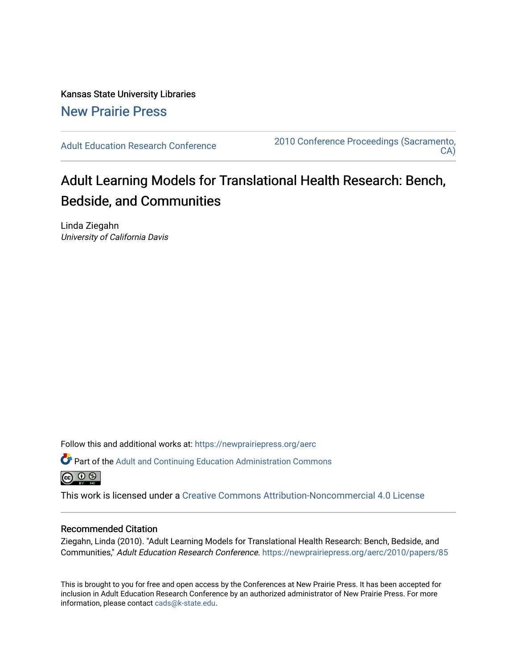Kansas State University Libraries [New Prairie Press](https://newprairiepress.org/) 

[Adult Education Research Conference](https://newprairiepress.org/aerc) [2010 Conference Proceedings \(Sacramento,](https://newprairiepress.org/aerc/2010)  [CA\)](https://newprairiepress.org/aerc/2010) 

# Adult Learning Models for Translational Health Research: Bench, Bedside, and Communities

Linda Ziegahn University of California Davis

Follow this and additional works at: [https://newprairiepress.org/aerc](https://newprairiepress.org/aerc?utm_source=newprairiepress.org%2Faerc%2F2010%2Fpapers%2F85&utm_medium=PDF&utm_campaign=PDFCoverPages)

Part of the [Adult and Continuing Education Administration Commons](http://network.bepress.com/hgg/discipline/789?utm_source=newprairiepress.org%2Faerc%2F2010%2Fpapers%2F85&utm_medium=PDF&utm_campaign=PDFCoverPages) <u>ெ ெ ⊜</u>

This work is licensed under a [Creative Commons Attribution-Noncommercial 4.0 License](https://creativecommons.org/licenses/by-nc/4.0/)

#### Recommended Citation

Ziegahn, Linda (2010). "Adult Learning Models for Translational Health Research: Bench, Bedside, and Communities," Adult Education Research Conference. <https://newprairiepress.org/aerc/2010/papers/85>

This is brought to you for free and open access by the Conferences at New Prairie Press. It has been accepted for inclusion in Adult Education Research Conference by an authorized administrator of New Prairie Press. For more information, please contact [cads@k-state.edu](mailto:cads@k-state.edu).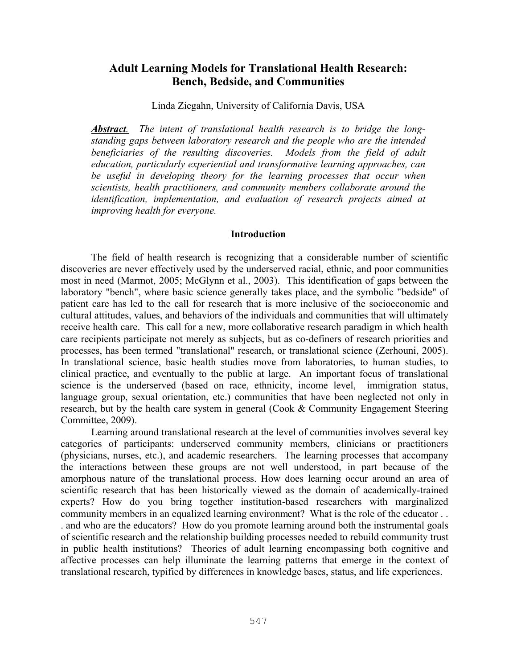## **Adult Learning Models for Translational Health Research: Bench, Bedside, and Communities**

Linda Ziegahn, University of California Davis, USA

*Abstract. The intent of translational health research is to bridge the longstanding gaps between laboratory research and the people who are the intended beneficiaries of the resulting discoveries. Models from the field of adult education, particularly experiential and transformative learning approaches, can be useful in developing theory for the learning processes that occur when scientists, health practitioners, and community members collaborate around the identification, implementation, and evaluation of research projects aimed at improving health for everyone.* 

#### **Introduction**

The field of health research is recognizing that a considerable number of scientific discoveries are never effectively used by the underserved racial, ethnic, and poor communities most in need (Marmot, 2005; McGlynn et al., 2003). This identification of gaps between the laboratory "bench", where basic science generally takes place, and the symbolic "bedside" of patient care has led to the call for research that is more inclusive of the socioeconomic and cultural attitudes, values, and behaviors of the individuals and communities that will ultimately receive health care. This call for a new, more collaborative research paradigm in which health care recipients participate not merely as subjects, but as co-definers of research priorities and processes, has been termed "translational" research, or translational science (Zerhouni, 2005). In translational science, basic health studies move from laboratories, to human studies, to clinical practice, and eventually to the public at large. An important focus of translational science is the underserved (based on race, ethnicity, income level, immigration status, language group, sexual orientation, etc.) communities that have been neglected not only in research, but by the health care system in general (Cook & Community Engagement Steering Committee, 2009).

Learning around translational research at the level of communities involves several key categories of participants: underserved community members, clinicians or practitioners (physicians, nurses, etc.), and academic researchers. The learning processes that accompany the interactions between these groups are not well understood, in part because of the amorphous nature of the translational process. How does learning occur around an area of scientific research that has been historically viewed as the domain of academically-trained experts? How do you bring together institution-based researchers with marginalized community members in an equalized learning environment? What is the role of the educator . . . and who are the educators? How do you promote learning around both the instrumental goals of scientific research and the relationship building processes needed to rebuild community trust in public health institutions? Theories of adult learning encompassing both cognitive and affective processes can help illuminate the learning patterns that emerge in the context of translational research, typified by differences in knowledge bases, status, and life experiences.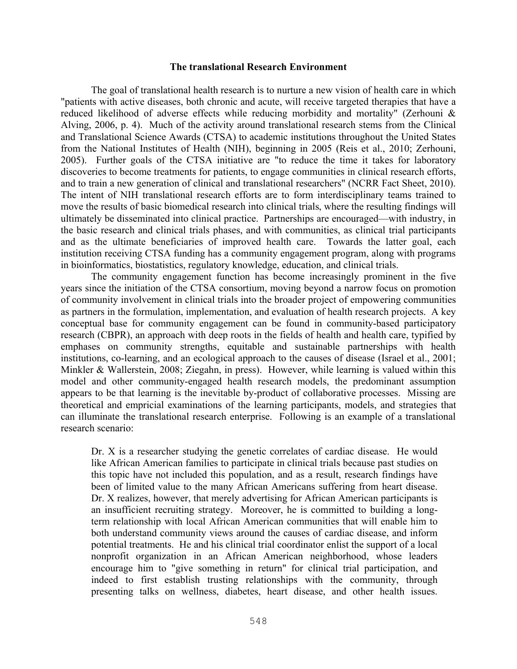#### **The translational Research Environment**

The goal of translational health research is to nurture a new vision of health care in which "patients with active diseases, both chronic and acute, will receive targeted therapies that have a reduced likelihood of adverse effects while reducing morbidity and mortality" (Zerhouni & Alving, 2006, p. 4). Much of the activity around translational research stems from the Clinical and Translational Science Awards (CTSA) to academic institutions throughout the United States from the National Institutes of Health (NIH), beginning in 2005 (Reis et al., 2010; Zerhouni, 2005). Further goals of the CTSA initiative are "to reduce the time it takes for laboratory discoveries to become treatments for patients, to engage communities in clinical research efforts, and to train a new generation of clinical and translational researchers" (NCRR Fact Sheet, 2010). The intent of NIH translational research efforts are to form interdisciplinary teams trained to move the results of basic biomedical research into clinical trials, where the resulting findings will ultimately be disseminated into clinical practice. Partnerships are encouraged—with industry, in the basic research and clinical trials phases, and with communities, as clinical trial participants and as the ultimate beneficiaries of improved health care. Towards the latter goal, each institution receiving CTSA funding has a community engagement program, along with programs in bioinformatics, biostatistics, regulatory knowledge, education, and clinical trials.

The community engagement function has become increasingly prominent in the five years since the initiation of the CTSA consortium, moving beyond a narrow focus on promotion of community involvement in clinical trials into the broader project of empowering communities as partners in the formulation, implementation, and evaluation of health research projects. A key conceptual base for community engagement can be found in community-based participatory research (CBPR), an approach with deep roots in the fields of health and health care, typified by emphases on community strengths, equitable and sustainable partnerships with health institutions, co-learning, and an ecological approach to the causes of disease (Israel et al., 2001; Minkler & Wallerstein, 2008; Ziegahn, in press). However, while learning is valued within this model and other community-engaged health research models, the predominant assumption appears to be that learning is the inevitable by-product of collaborative processes. Missing are theoretical and empricial examinations of the learning participants, models, and strategies that can illuminate the translational research enterprise. Following is an example of a translational research scenario:

Dr. X is a researcher studying the genetic correlates of cardiac disease. He would like African American families to participate in clinical trials because past studies on this topic have not included this population, and as a result, research findings have been of limited value to the many African Americans suffering from heart disease. Dr. X realizes, however, that merely advertising for African American participants is an insufficient recruiting strategy. Moreover, he is committed to building a longterm relationship with local African American communities that will enable him to both understand community views around the causes of cardiac disease, and inform potential treatments. He and his clinical trial coordinator enlist the support of a local nonprofit organization in an African American neighborhood, whose leaders encourage him to "give something in return" for clinical trial participation, and indeed to first establish trusting relationships with the community, through presenting talks on wellness, diabetes, heart disease, and other health issues.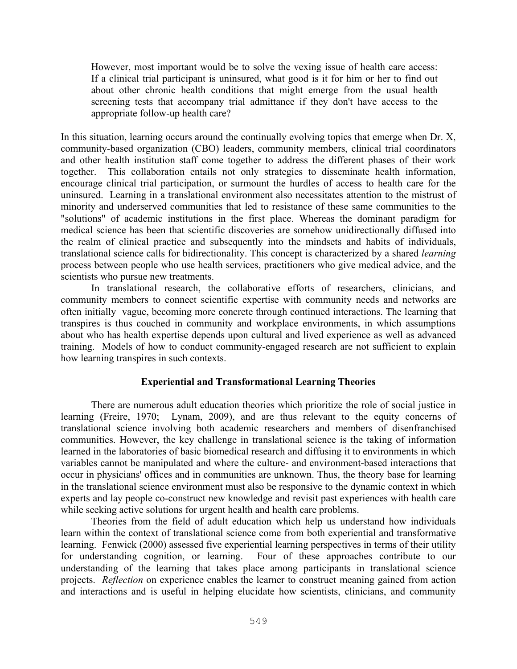However, most important would be to solve the vexing issue of health care access: If a clinical trial participant is uninsured, what good is it for him or her to find out about other chronic health conditions that might emerge from the usual health screening tests that accompany trial admittance if they don't have access to the appropriate follow-up health care?

In this situation, learning occurs around the continually evolving topics that emerge when Dr. X, community-based organization (CBO) leaders, community members, clinical trial coordinators and other health institution staff come together to address the different phases of their work together. This collaboration entails not only strategies to disseminate health information, encourage clinical trial participation, or surmount the hurdles of access to health care for the uninsured. Learning in a translational environment also necessitates attention to the mistrust of minority and underserved communities that led to resistance of these same communities to the "solutions" of academic institutions in the first place. Whereas the dominant paradigm for medical science has been that scientific discoveries are somehow unidirectionally diffused into the realm of clinical practice and subsequently into the mindsets and habits of individuals, translational science calls for bidirectionality. This concept is characterized by a shared *learning* process between people who use health services, practitioners who give medical advice, and the scientists who pursue new treatments.

In translational research, the collaborative efforts of researchers, clinicians, and community members to connect scientific expertise with community needs and networks are often initially vague, becoming more concrete through continued interactions. The learning that transpires is thus couched in community and workplace environments, in which assumptions about who has health expertise depends upon cultural and lived experience as well as advanced training. Models of how to conduct community-engaged research are not sufficient to explain how learning transpires in such contexts.

## **Experiential and Transformational Learning Theories**

There are numerous adult education theories which prioritize the role of social justice in learning (Freire, 1970; Lynam, 2009), and are thus relevant to the equity concerns of translational science involving both academic researchers and members of disenfranchised communities. However, the key challenge in translational science is the taking of information learned in the laboratories of basic biomedical research and diffusing it to environments in which variables cannot be manipulated and where the culture- and environment-based interactions that occur in physicians' offices and in communities are unknown. Thus, the theory base for learning in the translational science environment must also be responsive to the dynamic context in which experts and lay people co-construct new knowledge and revisit past experiences with health care while seeking active solutions for urgent health and health care problems.

Theories from the field of adult education which help us understand how individuals learn within the context of translational science come from both experiential and transformative learning. Fenwick (2000) assessed five experiential learning perspectives in terms of their utility for understanding cognition, or learning. Four of these approaches contribute to our understanding of the learning that takes place among participants in translational science projects. *Reflection* on experience enables the learner to construct meaning gained from action and interactions and is useful in helping elucidate how scientists, clinicians, and community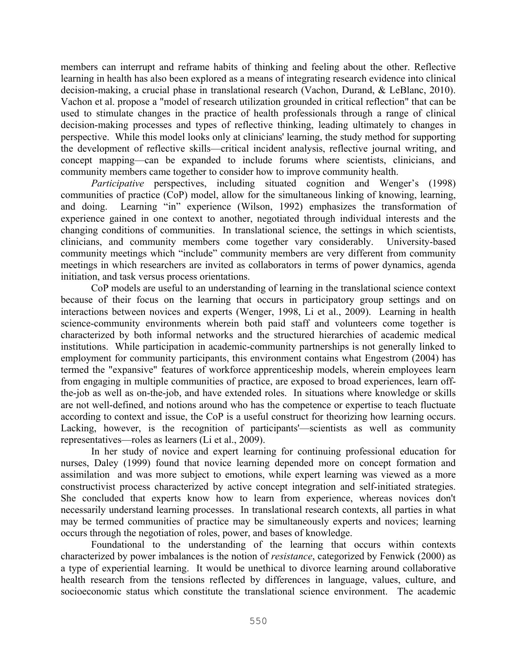members can interrupt and reframe habits of thinking and feeling about the other. Reflective learning in health has also been explored as a means of integrating research evidence into clinical decision-making, a crucial phase in translational research (Vachon, Durand, & LeBlanc, 2010). Vachon et al. propose a "model of research utilization grounded in critical reflection" that can be used to stimulate changes in the practice of health professionals through a range of clinical decision-making processes and types of reflective thinking, leading ultimately to changes in perspective. While this model looks only at clinicians' learning, the study method for supporting the development of reflective skills—critical incident analysis, reflective journal writing, and concept mapping—can be expanded to include forums where scientists, clinicians, and community members came together to consider how to improve community health.

*Participative* perspectives, including situated cognition and Wenger's (1998) communities of practice (CoP) model, allow for the simultaneous linking of knowing, learning, and doing. Learning "in" experience (Wilson, 1992) emphasizes the transformation of experience gained in one context to another, negotiated through individual interests and the changing conditions of communities. In translational science, the settings in which scientists, clinicians, and community members come together vary considerably. University-based community meetings which "include" community members are very different from community meetings in which researchers are invited as collaborators in terms of power dynamics, agenda initiation, and task versus process orientations.

CoP models are useful to an understanding of learning in the translational science context because of their focus on the learning that occurs in participatory group settings and on interactions between novices and experts (Wenger, 1998, Li et al., 2009). Learning in health science-community environments wherein both paid staff and volunteers come together is characterized by both informal networks and the structured hierarchies of academic medical institutions. While participation in academic-community partnerships is not generally linked to employment for community participants, this environment contains what Engestrom (2004) has termed the "expansive" features of workforce apprenticeship models, wherein employees learn from engaging in multiple communities of practice, are exposed to broad experiences, learn offthe-job as well as on-the-job, and have extended roles. In situations where knowledge or skills are not well-defined, and notions around who has the competence or expertise to teach fluctuate according to context and issue, the CoP is a useful construct for theorizing how learning occurs. Lacking, however, is the recognition of participants'—scientists as well as community representatives—roles as learners (Li et al., 2009).

In her study of novice and expert learning for continuing professional education for nurses, Daley (1999) found that novice learning depended more on concept formation and assimilation and was more subject to emotions, while expert learning was viewed as a more constructivist process characterized by active concept integration and self-initiated strategies. She concluded that experts know how to learn from experience, whereas novices don't necessarily understand learning processes. In translational research contexts, all parties in what may be termed communities of practice may be simultaneously experts and novices; learning occurs through the negotiation of roles, power, and bases of knowledge.

Foundational to the understanding of the learning that occurs within contexts characterized by power imbalances is the notion of *resistance*, categorized by Fenwick (2000) as a type of experiential learning. It would be unethical to divorce learning around collaborative health research from the tensions reflected by differences in language, values, culture, and socioeconomic status which constitute the translational science environment. The academic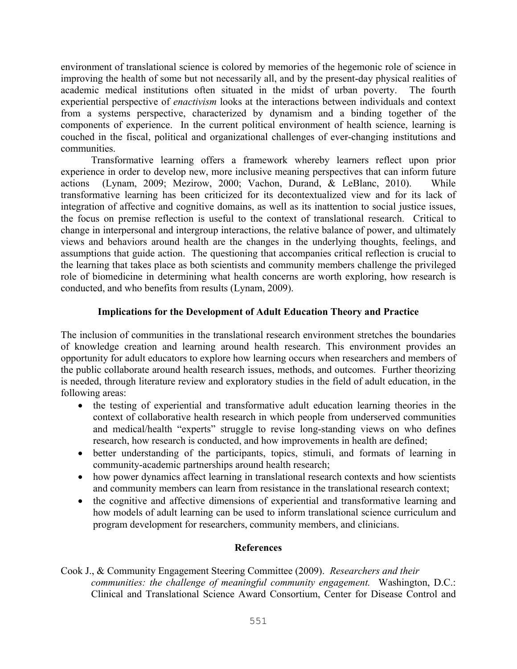environment of translational science is colored by memories of the hegemonic role of science in improving the health of some but not necessarily all, and by the present-day physical realities of academic medical institutions often situated in the midst of urban poverty. The fourth experiential perspective of *enactivism* looks at the interactions between individuals and context from a systems perspective, characterized by dynamism and a binding together of the components of experience. In the current political environment of health science, learning is couched in the fiscal, political and organizational challenges of ever-changing institutions and communities.

Transformative learning offers a framework whereby learners reflect upon prior experience in order to develop new, more inclusive meaning perspectives that can inform future actions (Lynam, 2009; Mezirow, 2000; Vachon, Durand, & LeBlanc, 2010). While transformative learning has been criticized for its decontextualized view and for its lack of integration of affective and cognitive domains, as well as its inattention to social justice issues, the focus on premise reflection is useful to the context of translational research. Critical to change in interpersonal and intergroup interactions, the relative balance of power, and ultimately views and behaviors around health are the changes in the underlying thoughts, feelings, and assumptions that guide action. The questioning that accompanies critical reflection is crucial to the learning that takes place as both scientists and community members challenge the privileged role of biomedicine in determining what health concerns are worth exploring, how research is conducted, and who benefits from results (Lynam, 2009).

## **Implications for the Development of Adult Education Theory and Practice**

The inclusion of communities in the translational research environment stretches the boundaries of knowledge creation and learning around health research. This environment provides an opportunity for adult educators to explore how learning occurs when researchers and members of the public collaborate around health research issues, methods, and outcomes. Further theorizing is needed, through literature review and exploratory studies in the field of adult education, in the following areas:

- the testing of experiential and transformative adult education learning theories in the context of collaborative health research in which people from underserved communities and medical/health "experts" struggle to revise long-standing views on who defines research, how research is conducted, and how improvements in health are defined;
- better understanding of the participants, topics, stimuli, and formats of learning in community-academic partnerships around health research;
- how power dynamics affect learning in translational research contexts and how scientists and community members can learn from resistance in the translational research context;
- the cognitive and affective dimensions of experiential and transformative learning and how models of adult learning can be used to inform translational science curriculum and program development for researchers, community members, and clinicians.

## **References**

Cook J., & Community Engagement Steering Committee (2009). *Researchers and their communities: the challenge of meaningful community engagement.* Washington, D.C.: Clinical and Translational Science Award Consortium, Center for Disease Control and